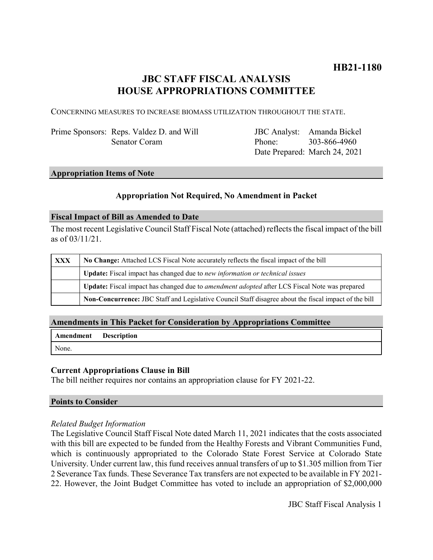# **JBC STAFF FISCAL ANALYSIS HOUSE APPROPRIATIONS COMMITTEE**

CONCERNING MEASURES TO INCREASE BIOMASS UTILIZATION THROUGHOUT THE STATE.

Prime Sponsors: Reps. Valdez D. and Will Senator Coram

JBC Analyst: Amanda Bickel Phone: Date Prepared: March 24, 2021 303-866-4960

## **Appropriation Items of Note**

## **Appropriation Not Required, No Amendment in Packet**

### **Fiscal Impact of Bill as Amended to Date**

The most recent Legislative Council Staff Fiscal Note (attached) reflects the fiscal impact of the bill as of 03/11/21.

| <b>XXX</b> | No Change: Attached LCS Fiscal Note accurately reflects the fiscal impact of the bill                 |
|------------|-------------------------------------------------------------------------------------------------------|
|            | Update: Fiscal impact has changed due to new information or technical issues                          |
|            | Update: Fiscal impact has changed due to <i>amendment adopted</i> after LCS Fiscal Note was prepared  |
|            | Non-Concurrence: JBC Staff and Legislative Council Staff disagree about the fiscal impact of the bill |

### **Amendments in This Packet for Consideration by Appropriations Committee**

|       | <b>Amendment</b> Description |
|-------|------------------------------|
| None. |                              |

### **Current Appropriations Clause in Bill**

The bill neither requires nor contains an appropriation clause for FY 2021-22.

### **Points to Consider**

### *Related Budget Information*

The Legislative Council Staff Fiscal Note dated March 11, 2021 indicates that the costs associated with this bill are expected to be funded from the Healthy Forests and Vibrant Communities Fund, which is continuously appropriated to the Colorado State Forest Service at Colorado State University. Under current law, this fund receives annual transfers of up to \$1.305 million from Tier 2 Severance Tax funds. These Severance Tax transfers are not expected to be available in FY 2021- 22. However, the Joint Budget Committee has voted to include an appropriation of \$2,000,000